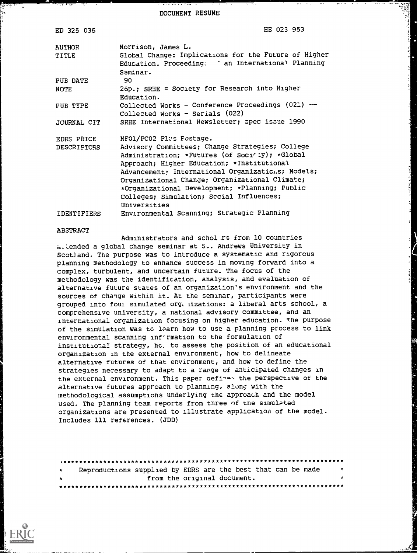DOCUMENT RESUME

| ED 325 036                | HE 023 953                                                                                                                                                                                                                                                                                                                                                                                                    |
|---------------------------|---------------------------------------------------------------------------------------------------------------------------------------------------------------------------------------------------------------------------------------------------------------------------------------------------------------------------------------------------------------------------------------------------------------|
| AUTHOR<br>TITLE           | Morrison, James L.<br>Global Change: Implications for the Future of Higher<br>Education. Proceeding: " an International Planning<br>Saminar.                                                                                                                                                                                                                                                                  |
| PUB DATE                  | 90.                                                                                                                                                                                                                                                                                                                                                                                                           |
| NOTE                      | $26p.$ ; SRHE = Society for Research into Higher<br>Education.                                                                                                                                                                                                                                                                                                                                                |
| PUB TYPE                  | Collected Works - Conference Proceedings (021) --<br>$Collected Works$ - Serials $(022)$                                                                                                                                                                                                                                                                                                                      |
| JOURNAL CIT               | SRHE International Newsletter; spec issue 1990                                                                                                                                                                                                                                                                                                                                                                |
| EDRS PRICE<br>DESCRIPTORS | MFO1/PC02 Plus Fostage.<br>Advisory Committees; Change Strategies; College<br>Administration; *Futures (of Soci <sup>1</sup> : y); *Global<br>Approach; Higher Education; *Institutional<br>Advancement; International Organizatic.s; Models;<br>Organizational Change; Organizational Climate;<br>*Organizational Development; *Planning; Public<br>Colleges; Simulation; Sccial Influences;<br>Universities |
| IDENTIFIERS               | Environmental Scanning; Strategic Planning                                                                                                                                                                                                                                                                                                                                                                    |

#### ABSTRACT

कुल्का

Administrators and schol rs from 10 countries attended a global change seminar at St. Andrews University in Scotland. The purpose was to introduce a systematic and rigorous planning methodology to enhance success in moving forward into a complex, turbulent, and uncertain future. The focus of the methodology was the identification, analysis, and evaluation of alternative future states of an organization's environment and the sources of change within it. At the seminar, participants were grouped into foul simulated org, lizations: a liberal arts school, a comprehensive university, a national advisory committee, and an international organization focusing on higher education. The purpose of the simulation was to learn how to use a planning process to link environmental scanning information to the formulation of institutional strategy, hc. to assess the position of an educational organization in the external environment, how to delineate alternative futures of that environment, and how to define the strategies necessary to adapt to a range of anticipated changes in the external environment. This paper defines the perspective of the alternative futures approach to planning, along with the methodological assumptions underlying the approach and the model used. The planning team reports from three of the simulated organizations are presented to illustrate application of the model. Includes 111 references. (JDD)

| $\ddot{\mathbf{x}}$ |  | Reproductions supplied by EDRS are the best that can be made | $\ddot{\mathbf{x}}$ |
|---------------------|--|--------------------------------------------------------------|---------------------|
| $\star$             |  | from the original document.                                  | *                   |
|                     |  |                                                              |                     |

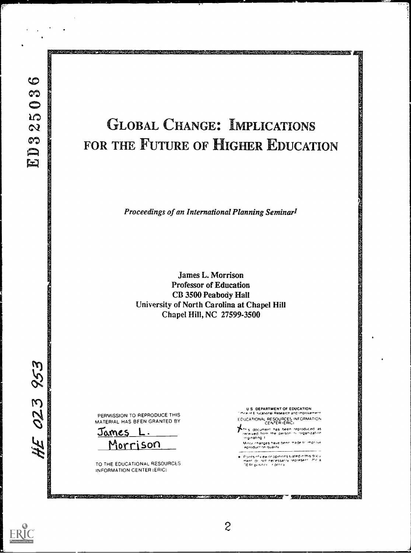$-$ - $-$ 

# GLOBAL CHANGE: IMPLICATIONS FOR THE FUTURE OF HIGHER EDUCATION

**SECOND REPORT OF A STATE OF A STATE OF A STATE OF A STATE OF A STATE OF A STATE OF A STATE OF A STATE OF A ST** 

Proceedings of an International Planning Seminarl

James L. Morrison Professor of Education CB 3500 Peabody Hall University of North Carolina at Chapel Hill Chapel Hill, NC 27599-3500

PERMISSION TO REPRODUCE THIS MATERIAL HAS BEEN GRANTED BY

Tames L. Morrison

TO THE EDUCATIONAL RESOURCES INFORMATION CENTER (ERIC;

U S DEPARTMENT OF EDUCATION E ,,Cabonat ReSearCr and ImprOvemnt EOUCATIONAL RESOURCES INFORMATION<br>A CENTER (ERICI

Y4,^ S dOCUrne,,T has beer teDtoducet1 as .prp,ved I fro, Orre paasort etqleta,ratnt, vvnatmg t

Minor changes have been made to improve.<br>Ieproduction quality

Points of view or opinions stated in this dr.K.u.<br>ment, dc. not. necessarily irepresent... ifficial<br>DEAL pusition - r. policy



023 953

a ji zavana na katika matsa ya matsa ya matsa ya matsa ya matsa ya matsa ya matsa ya matsa ya matsa ya matsa y<br>Matsa ya matsa ya matsa ya matsa ya matsa ya matsa ya matsa ya matsa ya matsa ya matsa ya matsa ya matsa ya ma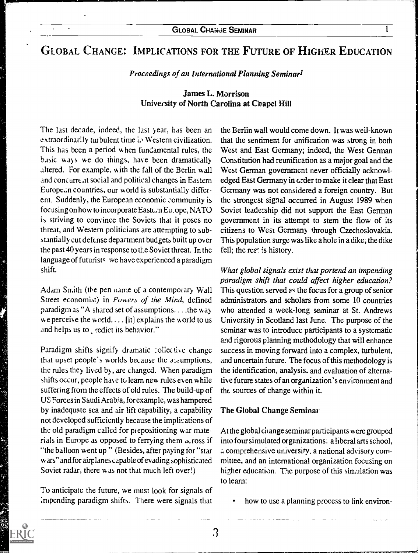# GLOBAL CHANGE: IMPLICATIONS FOR THE FUTURE OF HIGHER EDUCATION

#### Proceedings of an International Planning Seminar<sup>1</sup>

## James L. Morrison University of North Carolina at Chapel Hill

The last decade, indeed, the last year, has been an extraordinarily turbulent time i. Western civilization. This has been a period w hen fundamental rules, the basic ways we do things, have been dramatically altered. For example, with the fall of the Berlin wall and concurre at social and political changes in Eastern European countries, our world is substantially different. Suddenly, the European economic community is focusing on how to incorporate Eastern Eu. ope, NATO is striving to convince the Soviets that it poses no threat, and Western politicians are attempting to substantially cut defense department budgets built up over the past 40 years in response to the Soviet threat. In the language of futurists we have experienced a paradigm shift.

Adam Smith (the pen name of a contemporary Wall Street economist) in Powers of the Mind, defined paradigm as "A shared set of assumptions.. ..the way we perceive the world.... [it] explains the world to us and helps us to redict its behavior."

Paradigm shifts signify dramatic collective change that upset people's worlds because the  $a_{\text{L}}$  umptions, the rules they lived by , are changed. When paradigm shifts occur, people hare to learn new rules even while suffering from the effects of old rules. The build-up of US Forces in Saudi Arabia, for example, was hampered by inadequate sea and air lift capability, a capability not developed sufficiently because the implications of the old paradigm called for piepositioning war materials in Europe as opposed to ferrying them across if "the balloon went up " (Besides, after paying for "star w ars" and for airplanes capable of evading sophisticated Soviet radar, there was not that much left over!)

To anticipate the future, we must look for signals of impending paradigm shifts. There were signals that

the Berlin wall would come down. It was well-known that the sentiment for unification was strong in both West and East Germany; indeed, the West German Constitution had reunification as a major goal and the West German government never officially acknowledged East Germany in order to make it clear that East Germany was not considered a foreign country. But the strongest signal occurred in August 1989 when Soviet leadership did not support the East German government in its attempt to stem the flow of its citizens to West German) through Czechoslovakia. This population surge was like a hole in a dike; the dike fell; the rest is history.

What global signals exist that portend an impending paradigm shift that could affect higher education? This question served as the focus for a group of senior administrators and scholars from some 10 countries who attended a week-long seminar at St. Andrews University in Scotland last June. The purpose of the seminar was to introduce participants to a systematic and rigorous planning methodology that will enhance success in moving forward into a complex, turbulent, and uncertain future. The focus of this methodology is the identification, analysis. and evaluation of alternative future states of an organization's environment and the sources of change within it.

#### The Global Change Seminar

At the global change seminar participants were grouped into four simulated organizations: a liberal arts school, comprehensive university, a national advisory committee, and an international organization focusing on hizher education. The purpose of this simulation was to learn:

how to use a planning process to link environ-

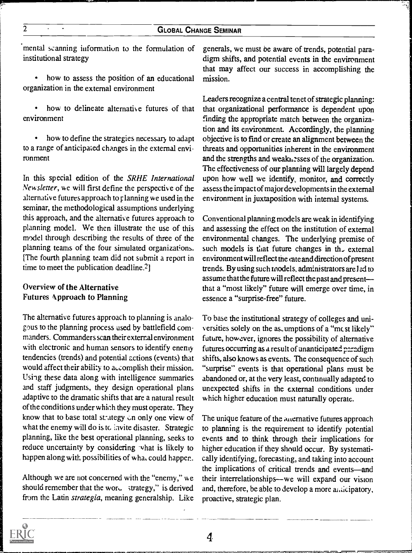'mental scanning information to the formulation of institutional strategy

 $\bullet$ how to assess the position of an educational organization in the external environment

 $\bullet$ how to delineate alternative futures of that environment

 $\bullet$ how to define the strategies necessary to adapt to a range of anticipated changes in the external environment

In this special edition of the SRHE International Newsletter, we will first define the perspective of the alternative futures approach to rlanning we used in the seminar, the methodological assumptions underlying this approach, and the alternative futures approach to planning model. We then illustrate the use of this model through describing the results of three of the planning teams of the four simulated organizations. [The fourth planning team did not submit a report in time to meet the publication deadline.<sup>2</sup>]

## Overview of the Alternative Futures Approach to Planning

The alternative futures approach to planning is analogous to the planning process used by battlefield commanders. Commanders scan their external environment with electronic and human sensors to identify enemy tendencies (trends) and potential actions (events) that would affect their ability to accomplish their mission. Using these data along with intelligence summaries and staff judgments, they design operational plans adaptive to the dramatic shifts that are a natural result of the conditions under which they must operate. They know that to base total strategy on only one view of what the enemy will do is to layte disaster. Strategic planning, like the best operational planning, seeks to reduce uncertainty by considering what is likely to happen along with possibilities of wha, could happen.

Although we are not concerned with the "enemy," we should remember that the word strategy," is derived from the Latin strategia, meaning generalship. Like generals, we must be aware of trends, potential paradigm shifts, and potential events in the environment that may affect our success in accomplishing the mission.

Leaders recognize a central tenet of strategic planning: that organizational performance is dependent upon finding the appropriate match between the organization and its environment. Accordingly, the planning objective is to find or create an alignment between the threats and opportunities inherent in the environment and the strengths and weaknesses of the organization. The effectiveness of our planning will largely depend upon how well we identify, monitor, and correctly assess the impact of major developments in the external environment in juxtaposition with internal systems.

Conventional planning models are weak in identifying and assessing the effect on the institution of external environmental changes. The underlying premise of such models is that future changes in th<sub>r</sub> external environment will reflect the cate and direction of present trends. By using such models, administrators are led to assume that the future will reflect the past and present that a "most likely" future will emerge over time, in essence a "surprise-free" future.

To base the institutional strategy of colleges and universities solely on the as, umptions of a "mcst likely" future, however, ignores the possibility of alternative futures occurring as a result of unanticipated paradigm shifts, also knows as events. The consequence of such "surprise" events is that operational plans must be abandoned or, at the very least, continually adapted to unexpected shifts in the external conditions under which higher education must naturally operate.

The unique feature of the alternative futures approach to planning is the requirement to identify potential events and to think through their implications for higher education if they should occur. By systematically identifying, forecasting, and taking into account the implications of critical trends and events-and their interrelationships—we will expand our vision and, therefore, be able to develop a more anticipatory, proactive, strategic plan.

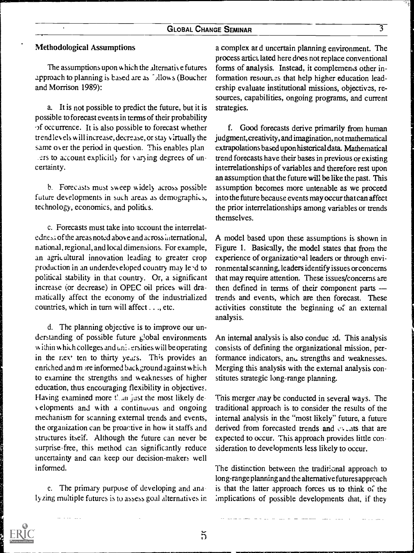#### Methodological Assumptions

 $\ddot{\phantom{a}}$ 

The assumptions upon which the alternativ e futures approach to planning is based are as <sup>5</sup> Jllows (Boucher and Morrison 1989):

a. It is not possible to predict the future, but it is possible to forecast events in terms of their probability .3f occurrence. It is also possible to forecast whether trend ley els w ill increase, decrease, or stay v irtually the same ov er the period in question. This enables plan ers to account explicitly for varying degrees of uncertainty.

b. Forecasts must sweep widely across possible. future developments in such areas as demographics, technology, economics, and politics.

c. Forecasts must take into account the interrelatedness of the areas noted above and across international, national, regional, and local dimensions. For example, an agricultural innovation leading to greater crop production in an underdev eloped country may le-d to political stability in that country. Or, a significant increase (or decrease) in OPEC oil prices will dramatically affect the economy of the industrialized countries, which in turn will affect . . ., etc.

d. The planning objective is to improve our understanding of possible future  $\epsilon$  obal environments within which colleges and universities will be operating in the next ten to thirty years. This provides an enriched and m are informed background against which to examine the strengths and weaknesses of higher education, thus encouraging flexibility in objectives. Having examined more  $t_{\text{min}}$  just the most likely dey elopments and with a continuous and ongoing mechanism for scanning external trends and events, the organization can be proactive in how it staffs and structures itself. Although the future can never be surprise-free, this method can significantly reduce uncertainty and can keep our decision-makers well informed.

e. The primary purpose of developing and ana ly zing multiple futures is to assess goal alternatives in

a complex ar d uncertain planning environment. The process artict. lated here dnes not replace conventional forms of analysis. Instead, it complements other information resomes that help higher education leadership evaluate institutional missions, objectives, resources, capabilities, ongoing programs, and current strategies.

f. Good forecasts derive primarily from human judgment, creativity, and imagination, not mathematical extrapolations based upon historical data. Mathematical trend forecasts have their bases in previous or existing interrelationships of variables and therefore rest upon an assumption that the future will be like the past. This assumption becomes more untenable as we proceed into the future because events may occur that can affect the prior interrelationships among variables or trends themselves.

A model based upon these assumptions is shown in Figure 1. Basically, the model states that from the experience of organizational leaders or through environmental scanning, leaders identify issues or concerns that may require attention. These issues/concerns are then defined in terms of their component parts trends and events, which are then forecast. These activities constitute the beginning of an external analysis.

An internal analysis is also conduc  $2d$ . This analysis consists of defining the organizational mission, performance indicators, and strengths and weaknesses. Merging this analysis with the external analysis constitutes strategic long-range planning.

This merger may be conducted in several ways. The traditional approach is to consider the results of the internal analysis in the "most likely" future, a future derived from forecasted trends and  $\cdots$  is that are expected to occur. This approach provides little consideration to developments less likely to occur.

The distinction between the traditicnal approach to long-range planning and the alternative futures approach is that the latter approach forces us to think of the implications of possible developments that, if they

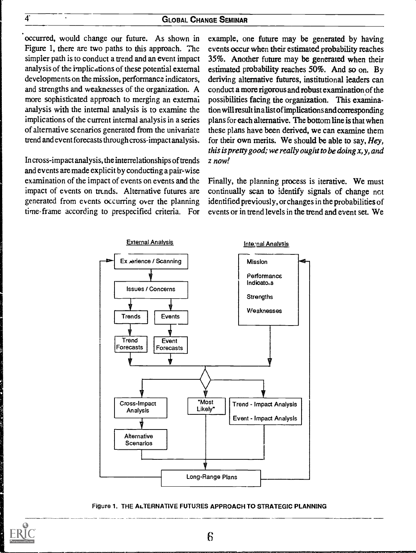occurred, would change our future. As shown in Figure 1, there are two paths to this approach. The simpler path is to conduct a trend and an event impact analysis of the implications of these potenfial external developments on the mission, performance indicators, and strengths and weaknesses of the organization. A more sophisticated approach to merging an external analysis with the internal analysis is to examine the implications of the current internal analysis in a series of alternative scenarios generated from the univariate trend and event forecasts through cross-impact analysis.

In cross-impact analysis, the interrelationships of trends and events are made explicit by conducting a pair-wise examination of the impact of events on events and the impact of events on trends. Alternative futures are generated from events occurring over the planning time-frame according to prespecified criteria. For

example, one future may be generated by having events occur when their estimated probability reaches 35%. Another future may be generated when their estimated probability reaches 50%. And so on. By deriving alternative futures, institutional leaders can conduct a more rigorous and robust examination of the possibilities facing the organization. This examination will result in a list of implications and corresponding plans for each alternative. The bottom line is that when these plans have been derived, we can examine them for their own merits. We should be able to say,  $Hey,$ this is pretty good; we really ought to be doing  $x, y$ , and z now!

Finally, the planning process is iterative. We must continually scan to identify signals of change not identified previously, or changes in the probabilities of events or in trend levels in the trend and event set. We



Figure 1. THE ALTERNATIVE FUTURES APPROACH TO STRATEGIC PLANNING



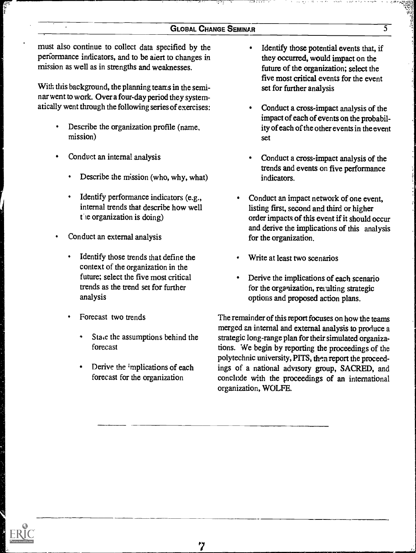must also continue to collect data specified by the performance indicators, and to be aiert to changes in mission as well as in strengths and weaknesses.

With this background, the planning teams in the seminar went to work. Over a four-day period they systematically went through the following series of exercises:

- Describe the organization profile (name, mission)
- Conduct an internal analysis
	- Describe the mission (who, why, what)
	- Identify performance indicators (e.g., internal trends that describe how well  $t$  ie organization is doing)
- Conduct an external analysis
	- Identify those trends that define the context of the organization in the future; select the five most critical trends as the trend set for further analysis
	- Forecast two trends
		- State the assumptions behind the forecast
		- Derive the implications of each forecast for the organization
- Identify those potential events that, if they occuned, would impact on the future of the organization; select the five most critical events for the event set for further analysis
- Conduct a cross-impact analysis of the impact of each of events on the probability of each of the other events in the event set
- Conduct a cross-impact analysis of the trends and events on five performance indicators.
- Conduct an impact network of one event, listing first, second and third or higher order impacts of this event if it should occur and derive the implications of this analysis for the organization.
- Write at least two scenarios
- Derive the implications of each scenario for the organization, resulting strategic options and proposed action plans.

The remainder of this report focuses on how the teams merged an internal and external analysis to produce a strategic long-range plan for their simulated organizations. We begin by reporting the proceedings of the polytechnic university, PITS, then report the proceedings of a national advisory group, SACRED, and conclude with the proceedings of an international organization, WOLFE.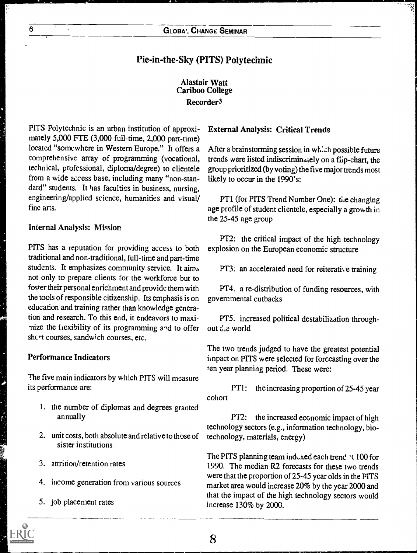## Pie-in-the-Sky (PITS) Polytechnic

## Alastair Watt Cariboo College Recorder3

PITS Polytechnic is an urban institution of approximately 5,000 FTE (3,000 full-time, 2,000 part-time) located "somewhere in Western Europe." It offers a comprehensive array of programming (vocational, technical, professional, diploma/degree) to clientele from a wide access base, including many "non-standard" students. It has faculties in business, nursing, engineering/applied science, humanities and visual/ fine arts.

#### Internal Analysis: Mission

PITS has a reputation for providing access to both traditional and non-traditional, full-time and part-time students. It emphasizes community service. It aims not only to prepare clients for the workforce but to foster their personal enrichment and provide them with the tools of responsible citizenship. Its emphasis is on education and training rather than knowledge generation and research. To this end, it endeavors to maximize the flexibility of its programming and to offer short courses, sandwich courses, etc.

#### Performance Indicators

The five main indicators by which PITS will measure its performance are:

- 1. the number of diplomas and degrees granted annually
- 2. unit costs, both absolute and relative to those of sister institutions
- 3. attrition/retention rates
- 4. income generation from various sources
- 5. job placement rates

## External Analysis: Critical Trends

After a brainstorming session in which possible future trends were listed indiscriminately on a flip-chart, the group prioritized (by voting) the five major trends most likely to occur in the 1990's:

PT1 (for PITS Trend Number One): the changing age profile of student clientele, especially a growth in the 25-45 age group

PT2: the critical impact of the high technology explosion on the European economic structure

PT3: an accelerated need for reiterative training

PT4. a re-distribution of funding resources, with governmental cutbacks

PT5. increased political destabilization throughout the world

The two trends judged to have the greatest potential impact on PITS were selected for forccasting over the ten year planning period. These were:

PT1: the increasing proportion of 25-45 year cohort

PT2: the increased economic impact of high technology sectors (e.g., information technology, biotechnology, materials, energy)

The PITS planning team indexed each trend 1 100 for 1990. The median R2 forecasts for these two trends were that the proportion of 25-45 year olds in the FITS market area would increase 20% by the year 2000 and that the impact of the high technology sectors would increase 130% by 2000.

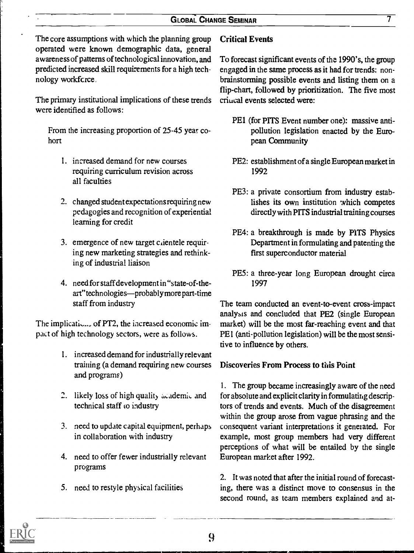The core assumptions with which the planning group operated were known demographic data, general awareness of patterns of technological innovation, and predicted increased skill requirements for a high technology workfcrce,

The primary institutional implications of these trends were identified as follows:

From the increasing proportion of 25-45 year cohort

- 1. increased demand for new courses requiring curriculum revision across all faculties
- 2. changed student expectations requiring new pedagogies and recognition of experiential learning for credit
- 3. emergence of new target clientele requiring new marketing strategies and rethinking of industrial liaison
- 4. need for staff development in "state-of-theart" technologies—probably more part-time staff from industry

The implicatio..., of PT2, the increased economic impact of high technology sectors, were as follows.

- 1. increased demand for industrially relevant training (a demand requiring new courses and programs)
- 2. likely loss of high quality academic and technical staff to industry
- 3. need to update capital equipment, perhaps in collaboration with industry
- 4. need to offer fewer industrially relevant programs
- 5. need to restyle physical facilities

## Critical Events

To forecast significant events of the 1990's, the group engaged in the same process as it had for trends: nonbrainstorming possible events and listing them on a flip-chart, followed by prioritization. The five most criucal events selected were:

- PE1 (for PITS Event number one): massive antipollution legislation enacted by the Eumpean Community
- PE2: establishment of a single European market in 1992
- PE3: a private consortium from industry establishes its own institution which competes directly with PITS industrial training courses
- PE4: a breakthrough is made by PITS Physics Department in formulating and patenting the first superconductor material
- PE5: a three-year long European drought circa 1997

The team conducted an event-to-event cross-impact analysts and concluded that PE2 (single European market) will be the most far-reaching event and that PE1 (anti-pollution legislation) will be the most sensitive to influence by others.

## Discoveries From Process to this Point

1. The group became increasingly aware of the need for absolute and explicit clarity in formulating descriptors of trends and events. Much of the disagreement within the group arose from vague phrasing and the consequent variant interpretations it generated. For example, most group members had very different perceptions of what will be entailed by the single European market after 1992.

2. It was noted that after the initial round of forecasting, there was a distinct move to consensus in the second round, as team members explained and at-



9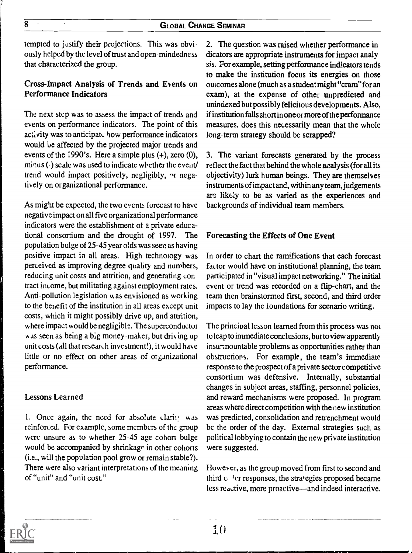tempted to justify their projections. This was obviously helped by the level of trust and open mindedness that characterized the group.

## Cross-Impact Analysis of Trends and Events on Performance Indicators

The next step was to assess the impact of trends and events on performance indicators. The point of this activity was to anticipate how performance indicators would be affected by the projected major trends and events of the 1990's. Here a simple plus (+), zero (0), minus (-) scale was used to indicate whether the event/ trend would impact positively, negligibly,  $\gamma$  negatively on organizational performance.

As might be expected, the two events forecast to have negativ e impact on all five organizational performance indicators were the establishment of a private educational consortium and the drought of 1997. The population bulge of 25-45 year olds was seen as having positive impact in all areas. High technology was perceived as improving degree quality and numbers, reducing unit costs and attrition, and generating con tract income, but militating against employment rates. Anti-pollution legislation was envisioned as working to the benefit of the institution in all areas except unit costs, which it might possibly drive up, and attrition, where impact would be negligible. The superconductor was seen as being a big money -maker, but driving up unit costs (all that research investment!), it would have little or no effect on other areas of organizational performance.

## Lessons Learned

1. Once again, the need for absolute clarity was reinforced. For example, some members of the group were unsure as to whether 25-45 age cohort bulge would be accompanied by shrinkage in other cohorts (i.e., will the population pool grow or remain stable?). There were also variant interpretations of the meaning of "unit" and "unit cost."

2. The question was raised whether performance in dicators are appropriate instruments for impact analy sis. For example, setting performance indicators tends to make the institution focus its energies on those outcomes alone (much as a studen: might "cram" for an exam), at the expense of other unpredicted and unindexed but possibly felicitous developments. Also, if institution falls short in one or more of the performance measures, does this necessarily mean that the whole long-term strategy should be scrapped?

3. The variant forecasts generated by the process reflect the fact that behind the whole analysis (for all its objectivity) lurk human beings. They are themselves instruments of impact and, within any team, judgements are likely to be as varied as the experiences and backgrounds of individual team members.

## Forecasting the Effects of One Event

In order to chart the ramifications that each forecast factor would have on institutional planning, the team participated in "visual impact networking." The initial event or trend was recorded on a flip-chart, and the team then brainstormed first, second, and third order impacts to lay the ioundations for scenario writing.

The principal lesson learned from this process was not tu leap to immediate conclusions, but to view apparently insum nountable problems as opportunities rather than obstructiors. For example, the team's immediate response to the prospect of a private sector competidve consortium was defensive. Internally, substantial changes in subject areas, staffing, personnel policies, and reward mechanisms were proposed. In program areas where direct competition with the new institution was predicted, consolidation and retrenchment would be the order of the day. External strategies such as political lobbying to contain the new private institution were suggested.

However, as the group moved from first to second and third c <sup>4</sup>cr responses, the strategies proposed became less reactive, more proactive—and indeed interactive.

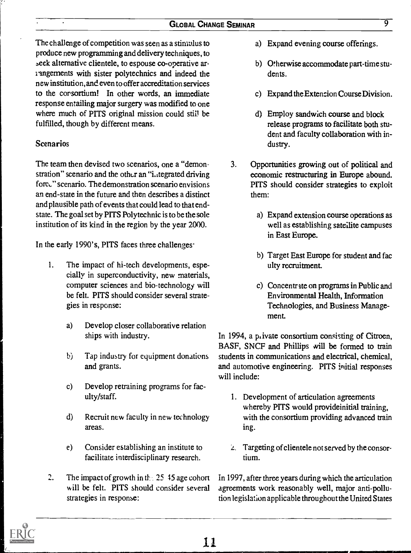The challenge of competition was seen as a stimulus to produce new programming and delivery techniques, to seek alternative clientele, to espouse co-operative arrangements with sister polytechnics and indeed the new institution, and even to offer accreditation services to the corsortium! In other words, an immediate response entailing major surgery was modified to one where much of PITS original mission could still be fulfilled, though by different means.

## Scenarios

The team then devised two scenarios, one a "demonstration" scenario and the other an "integrated driving forc" scenario. The demonstration scenario envisions an end-state in the future and then describes a distinct and plausible path of events that could lead to that endstate. The goal set by PITS Polytechnic is to be the sole institution of its kind in the region by the year 2000.

In the early 1990's, PITS faces three challenges.

- 1. The impact of hi-tech developments, especially in superconductivity, new materials, computer sciences and bio-technology will be felt. PITS should consider several strategies in response:
	- a) Develop closer collaborative relation ships with industry.
	- b) Tap industry for equipment donations and grants.
	- c) Develop retraining programs for faculty/staff.
	- d) Recruit new faculty in new technology areas.
	- e) Consider establishing an institute to facilitate interdisciplinary research.
- $\overline{2}$ . The impact of growth in the  $25\,$  45 age cohort will be felt. PITS should consider several strategies in response:
- a) Expand evening course offerings.
- b) Otherwise accommodate part-time students.
- c) Expand the Extension Course Division.
- d) Employ sandwich course and block release programs to facilitate both student and faculty collaboration with industry.
- 3. Opportunities growing out of political and economic restructuring in Europe abound. PITS should consider strategies to exploit them:
	- a) Expand extension course operations as well as establishing satellite campuses in East Europe.
	- b) Target East Europe for student and fac ulty recruitment
	- c) Concentrite on programs in Public and Environmental Health, Information Technologies, and Business Management.

In 1994, a private consortium consisting of Citroen, BASF, SNCF and Phillips will be formed to train students in communications and electrical, chemical, and automotive engineering. PITS initial responses will include:

- 1. Development of articulation agreements whereby PITS would provideinitial training, with the consortium providing advanced train ing.
- $\mathcal{L}$ . Targeting of clientele not served by the consortium.

In 1997, after three years during which the articulation agreements work reasonably well, major anti-pollution legislation applicable throughout the United States

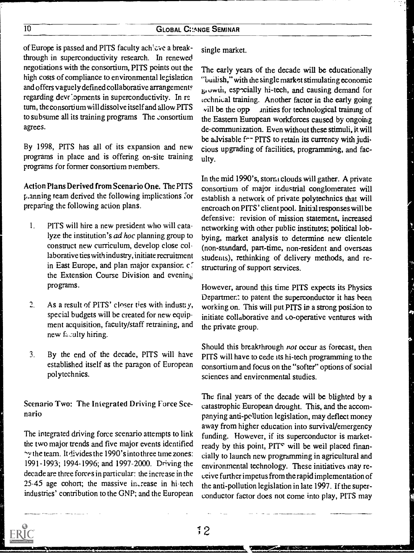## 10 GLOBAL CHANGE SEMINAR

of Europe is passed and PITS faculty achieve a breakthrough in superconductivity research. In renewed negotiations with the consortium, PITS points out the high costs of compliance to environmental legislation and offers vaguely defined collaborative arrangements regarding developments in superconductivity. In return, the consortium will dissolve itself and allow PITS to subsume all its training programs The consortium agrees.

By 1998, PITS has all of its expansion and new programs in place and is offering on-site training programs for former consortium members.

Action Plans Derived from Scenario One. The PITS p.anning team derived the following implications for preparing the following action plans.

- 1. PITS will hire a new president who will catalyze the institution's ad hoc planning group to construct new curriculum, develop close collaborative ties with industry, initiate recruitment in East Europe, and plan major expansion c '. the Extension Course Division and evening programs.
- 2. As a result of PITS' closer ties with industry,  $w_0$ special budgets will be created for new equipment acquisition, faculty/staff retraining, and new faculty hiring.
- 3. By the end of the decade, PITS will have established itself as the paragon of European polytechnics.

Scenario Two: The Integrated Driving Force Scenario

The integrated driving force scenario attempts to link the two major trends and five major events identified v the team. It divides the 1990's into three time zones: 1991-1993; 1994-1996; and 1997-2000. Driving the decade are three forces in particular: the increase in the 25-45 age cohort; the massive increase in hi-tech industries' contribution to the GNP; and the European single market.

The early years of the decade will be educationally "builish," with the single market stimulating economic 6.uwen, esrcially hi-tech, and causing demand for technical training. Another factor in the early going  $\nu$ ill be the opp inities for technological training of the Eastern European workforces caused by ongoing de-communization. Even without these stimuli, it will be advisable f<sup>--</sup> PITS to retain its currency with judicious upgrading of facilities, programming, and faculty.

In the mid 1990's, storm clouds will gather. A private consortium of major industrial conglomerates will establish a network of private polytechnics that will encroach on PITS' client pool. Initial responses will be defensive: revision of mission statement, increased networking with other public institutes; political lobbying, market analysis to determine new clientele (non-standard, part-time, non-resident and overseas students), rethinking of delivery methods, and restructuring of support services.

However, around this time PITS expects its Physics Departmer.: to patent the superconductor it has been working on. This will put PITS in a strong posidon to initiate collaborative and co-operative ventures with the private group.

Should this breakthrough not occur as forecast, then PITS will have to cede its hi-tech programming to the consortium and focus on the "softer" options of social sciences and environmental studies.

The final years of the decade will be blighted by a catastrophic European drought. This, and the accompanying anti-pollution legislation, may deflect money away from higher education into survival/emergency funding. However, if its superconductor is marketready by this point, PIT° will be weil placed financially to launch new programming in agricultural and environmental technology. These initiatives may receive further impetus from the rapid implementation of the anti-pollution legislation in late 1997. If the superconductor factor does not come into play, PITS may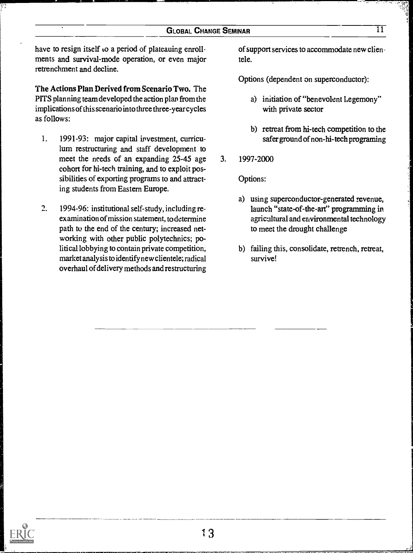have to resign itself to a period of plateauing enrollments and survival-mode operation, or even major retrenchment and decline.

The Actions Plan Derived from Scenario Two. The PITS planning team developed the action plan from the implications of this scenario into three three-yearcycles as follows:

- 1. 1991-93: major capital investment, curriculum restructuring and staff development to meet the needs of an expanding 25-45 age 3. cohort for hi-tech training, and to exploit possibilities of exporting programs to and attracting students from Eastern Europe.
- 2. 1994-96: institutional self-study, including reexamination of mission statement, to determine path to the end of the century; increased networking with other public polytechnics; political lobbying to contain private competition, market analysis to identify new clientele; radical overhaul of delivery methods and restructuring

of support services to accommodate new clien tele.

Options (dependent on superconductor):

- a) initiation of "benevolent hegemony" with private sector
- b) retreat from hi-tech competition to the safer ground of non-hi-tech programing
- 3. 1997-2000

Options:

- a) using superconductor-generated revenue, launch "state-of-the-art" programming in agricultural and environmental technology to meet the drought challenge
- b) failing this, consolidate, retrench, retreat, survive!

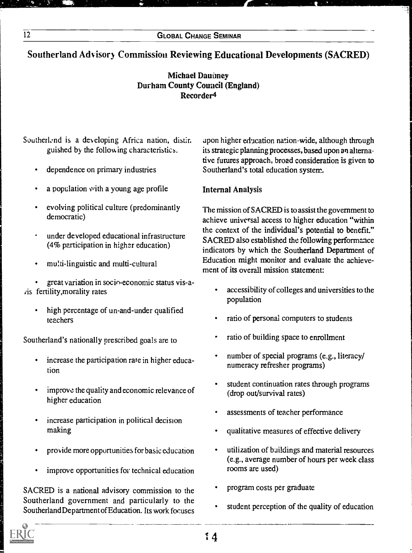## Southerland Advisory Commission Reviewing Educational Developments (SACRED)

## Michael Daunney Durham County Council (England) Recorder4

## Southerlend is a developing Africa nation, distin. guished by the following characteristics.

- dependence on primary industries
- a population with a young age profile
- evolving political culture (predominantly democratic)
- under developed educational infrastructure (4% participation in higher education)
- multi-linguistic and multi-cultural

great variation in socio-economic status vis-auis fertility,morality rates

high percentage of un-and-under qualified teachers

Southerland's nationally prescribed goals are to

- increase the participation rate in higher educa- $\bullet$ tion
- improve the quality and economic relevance of higher education
- increase participation in political decision making
- provide more opportunities for basic education
- improve opportunities for technical education

SACRED is a national advisory commission to the Southerland government and particularly to the Southerland Department of Education. Its work focuses apon higher education nation-wide, although through its strategic planning processes, based upon an alternative futures approach, broad consideration is given to Southerland's total education system.

## Internal Analysis

The mission of SACRED is to assist the government to achieve universal access to higher education "within the context of the individual's potential to benefit." SACRED also established the following performance indicators by which the Southerland Department of Education might monitor and evaluate the achievement of its overall mission statement:

- accessibility of colleges and universities to the population
- ratio of personal computers to students
- ratio of building space to enrollment
- number of special programs (e.g., literacy/ numeracy refresher programs)
- student continuation rates through programs (drop out/survival rates)
- assessments of teacher performance
- qualitative measures of effective delivery
- utilization of buildings and material resources (e.g., average number of hours per week class rooms are used)
- program costs per graduate
- student perception of the quality of education

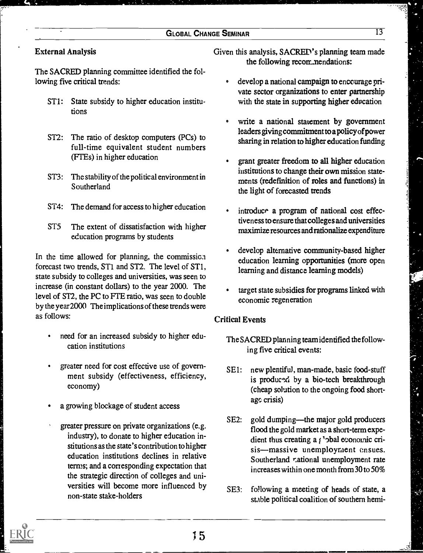## GLOBAL CHANGE SEMINAR 13

## External Analysis

The SACRED planning committee identified the following five critical trends:

- ST1: State subsidy to higher education institutions
- ST2: The ratio of desktop computers (PCs) to full-time equivalent student numbers (FTEs) in higher education
- ST3: The stability of the political environment in Southerland
- 5T4: The demand for access to higher education
- 5T5 The extent of dissatisfaction with higher education programs by students

In the time allowed for planning, the commission forecast two trends, ST1 and 5T2. The level of ST1, state subsidy to colleges and universities, was seen to increase (in constant dollars) to the year 2000. The level of ST2, the PC to FTE ratio, was seen to double by the year 2000 The implications of these trends were as follows:

- need for an increased subsidy to higher education institutions
- greater need for cost effective use of government subsidy (effectiveness, efficiency, economy)
- . a growing blockage of student access
- greater pressure on private organizations (e.g. industry), to donate to higher education institutions as the state's contribution to higher education institutions declines in relative terms; and a corresponding expectation that the strategic direction of colleges and universities will become more influenced by  $SE3:$ non-state stake-holders

Given this analysis, SACRED's planning team made the following recorr...nendations:

- develop a national campaign to encourage private sector organizations to enter partnership with the state in supporting higher education
- write a national statement by government leaders giving commitment to a policy of power sharing in relation to higher education funding
- grant greater freedom to all higher education institutions to change their own mission statements (redefmition of roles and functions) in the light of forecasted trends
- introduce a program of national cost effectiveness to ensure that colleges and universities maximize resources and rationalize expenditure
- develop alternative community-based higher education learning opportunities (more open learning and distance learning models)
- target state subsidies for programs linked with economic regeneration

## Critical Events

- The SACRED planning team identified the following five critical events:
- SE1: new plentiful, man-made, basic food-stuff is produced by a bio-tech breakthrough<br>(cheap solution to the ongoing food short-<br>age crisis) (cheap solution to the ongoing food shortage crisis)
- SE2: gold dumping—the major gold producers flood the gold market as a short-term expedient thus creating a  $\iota$  'pbal exonomic crisis—massive unemployment ensues. Southerland rational unemployment rate increases within one month from 30 to 50%
- following a meeting of heads of state, a stable political coalition of southern hemi-



7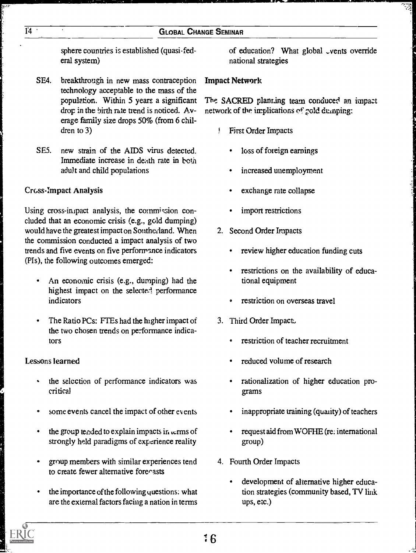sphere countries is established (quasi-federal system)

- SE4. breakthrough in new mass contraception technology acceptable to the mass of the population. Within 5 years a significant drop in the birth rate trend is noticed. Average family size drops 50% (from 6 children to 3)
- SE5. new strain of the AIDS virus detected. Immediate increase in death rate in both adult and child populations

## Cross-Impact Analysis

Using cross-impact analysis, the commission concluded that an economic crisis (e.g., gold dumping) would have the greatest impact on Sontherland. When the commission conducted a impact analysis of two trends and five events on five performance indicators (PIs), the following outcomes emerged:

- An economic crisis (e.g., dumping) had the highest impact on the selecte<sup>-1</sup> performance indicators
- The Ratio PCs: FTEs had the higher impact of the two chosen trends on performance indicators

## Lessons learned

- the selection of performance indicators was critical
- some events cancel the impact of other events
- the group tended to explain impacts in Lems of strongly held paradigms of experience reality
- group members with similar experiences tend to create fewer alternative forecasts
- the importance of the following questions. what are the external factors facing a nation in terms

of education? What global <sub>-vents</sub> override national strategies

## Impact Network

The SACRED planting team conduced an impact network of the implications of gold dumping:

- First Order Impacts
	- loss of foreign earnings
	- increased unemployment
	- exchange rate collapse
	- import restrictions
- 2. Second Order Impacts
	- review higher education funding cuts
	- restrictions on the availability of educa- $\bullet$ tional equipment
	- restriction on overseas travel
- 3. Third Order Impact,
	- restriction of teacher recruitment
	- reduced volume of research
	- rationalization of higher education programs
	- inappropriate training (quality) of teachers
	- request aid from WOFHE (re: international group)
- 4. Fourth Order Impacts
	- development of alternative higher education strategies (community based, TV link ups, etc.)

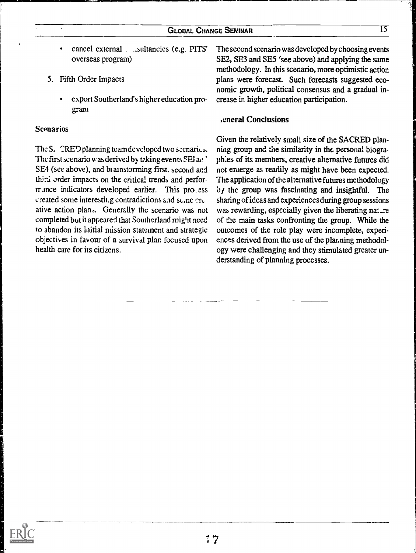- cancel external . .sultancies (e.g. PITS'  $\bullet$ overseas program)
- 5. Fifth Order Impacts
	- export Southerland's higher education program

#### Scenarios

The  $S<sub>x</sub>$   $\cap$   $\mathbb{R}$   $\mathbb{E}$   $\cap$  planning team developed two scenarics. The first scenario was derived by taking events  $SE1$  and SE4 (see above), and bi ainstorming first. second and third order impacts on the critical trends and performance indicators developed earlier. This pro\_ess created some interestii.g contradictions and sc.ne rrc ative action plana. Generally the scenario was not completed but it appeared that Southerland might need to abandon its initial mission statement and strategic objectives in favour of a survival plan focused upon health care for its citizens.

The second scenario was developed by choosing events SE2, SE3 and SE5 'see above) and applying the same methodology. In this scenario, more optimistic action plans were forecast. Such forecasts suggested economic growth, political consensus and a gradual increase in higher education participation.

#### general Conclusions

Given the relatively small size of the SACRED planning group and the similarity in thc personal biograph:es of its members, creative alternative futures did not emerge as readily as might have been expected. The application of the alternative futures methodology by the group was fascinating and insightful. The sharing of ideas and experiences during group sessions was rewarding, especially given the liberating nature of the main tasks confronting the group. While the outcomes of the role play were incomplete, experiences derived from the use of the planning methodology were challenging and they stimulated greater understanding of planning processes.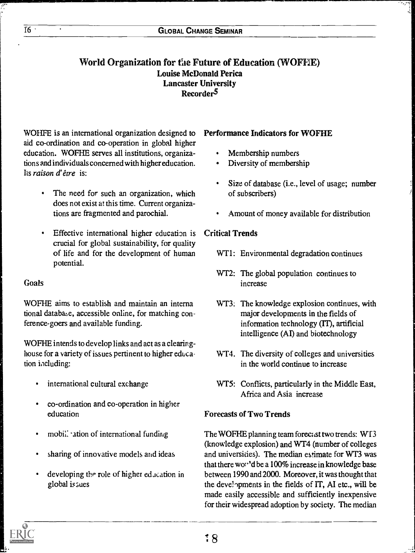## World Organization for tie Future of Education (WOFF1E) Louise McDonald Perica Lancaster University Recorder<sup>5</sup>

WOHFE is an international organization designed to aid co-ordination and co-operation in global higher education. WOFHE serves all institutions, organizations and individuals concerned with higher education. Its raison d'être is:

- $\bullet$ The need for such an organization, which does not exist at this time. Current organizations are fragmented and parochial.
- $\bullet$ Effective international higher education is crucial for global sustainability, for quality of life and for the development of human potential.

## Goals

WOFHE aims to establish and maintain an interna tional databaze, accessible online, for matching conference-goers and available funding.

WOFHE intends to develop links and act as a clearinghouse for a variety of issues pertinent to higher education including:

- international cultural exchange
- co-ordination and co-operation in higher education
- mobil: -ation of international funding
- sharing of innovative models and ideas
- developing the role of higher edacation in global issues

## Performance Indicators for WOFHE

- Membership numbers
- Diversity of membership
- Size of database (i.e., level of usage; number of subscribers)
- Amount of money available for distribution

## Critical Trends

- WT1: Environmental degradation continues
- WT2: The global population continues to increase
- WT3: The knowledge explosion continues, with major developments in the fields of information technology (IT), artificial intelligence (AI) and biotechnology
- WT4. The diversity of colleges and universities in the world continue to increase
- WT5: Conflicts, particularly in the Middle East, Africa and Asia increase

## Forecasts of Two Trends

The WOFHE planning team forecast two trends:  $W<sub>13</sub>$ (knowledge explosion) and WT4 (number of colleges and universides). The median estimate for WT3 was that there won'd be a  $100\%$  increase in knowledge base between 1990 and 2000. Moreover, it was thought that the developments in the fields of IT, AI etc., will be made easily accessible and sufficiently inexpensive for their widespread adoption by society. The median

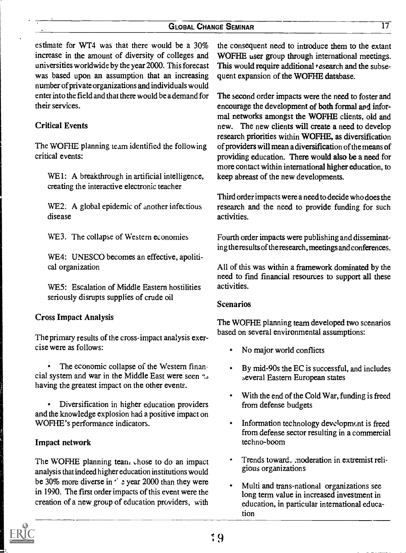### GLOBAL CHANGE SEMINAR 17

estimate for WT4 was that there would be a 30% increase in the amount of diversity of colleges and universities worldwide by the year 2000. This forecast was based upon an assumption that an increasing number of private organizations and individuals would enter into the field and that there would be a demand for their services.

## Critical Events

The WOFHE planning team identified the following critical events:

WE1: A breakthrough in artificial intelligence, creating the interactive electronic teacher

WE2: A global epidemic of another infectious disease

WE3. The collapse of Western economies

WE4: UNESCO becomes an effective, apolitical organization

WE5: Escalation of Middle Eastern hostilities seriously disrupts supplies of crude oil

#### Cross Impact Analysis

The primary results of the cross-impact analysis exercise were as follows:

The economic collapse of the Western financial system and war in the Middle East were seen having the greatest impact on the other events.

Diversification in higher education providers and the knowledge explosion had a positive impact on WOFHE's performance indicators.

#### Impact network

The WOFHE planning tean. chose to do an impact analysis that indeed higher education institutions would be 30% more diverse in  $\leq$  2 year 2000 than they were in 1990. The first order impacts of this event were the creation of a new group of education providers, with

the consequent need to introduce them to the extant WOFHE user group through international meetings. This would require additional *research* and the subsequent expansion of the WOFHE database.

The second order impacts were the need to foster and encourage the development of both formal and informal networks amongst the WOFHE clients, old and new. The new clients will create a need to develop research priorities within WOFHE, as diversification of providers will mean a diversification of the means of providing education. There would also be a need for more contact within international higher education, to keep abreast of the new developments.

Third order impacts were a need to decide who does the research and the need to provide funding for such activities.

Fourth order impacts were publishing and disseminating the results of the research, meetings and conferences.

All of this was within a framework dominated by the need to find financial resources to support all these activities.

#### Scenarios

The WOFHE planning team developed two scenarios based on several environmental assumptions:

- No major world conflicts
- By mid-90s the EC is successful, and includes several Eastern European states
- With the end of the Cold War, funding is freed  $\bullet$ from defense budgets
- Information technology development is freed from defense sector resulting in a commercial techno-boom
- Trends toward\_ moderation in extremist religious organizations
- Multi and trans-national organizations see long term value in increased investment in education, in particular international education

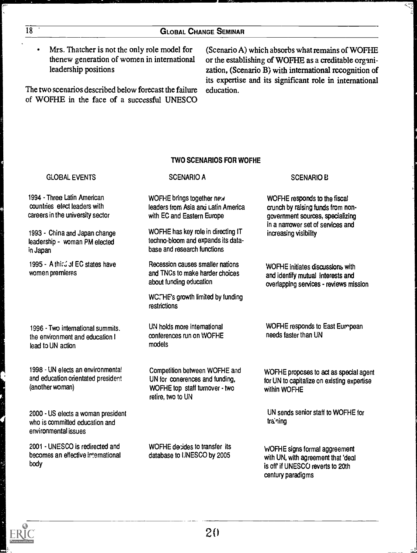Mrs. Thatcher is not the only role model for thenew generation of women in international leadership positions

The two scenarios described below forecast the failure of WOFHE in the face of a successful UNESCO

(Scenario A) which absorbs what remains of WOFHE or the establishing of WOFHE as a creditable organization, (Scenario B) with international recognition of its expertise and its significant role in international education.

#### TWO SCENARIOS FOR WOFHE

#### GLOBAL EVENTS 1994 - Three Latin American countries elect leaders with careers in the university sector 1993 - China and Japan change leadership - woman PM elected in Japan 1995 - A third of EC states have women premieres 1996 - Two international summits. the environment and education I lead to UN action 1998 - UN elects an environmental and education orientated president (another woman) 2000 - US elects a woman president who is committed education and environmental issues 2001 UNESCO is redirected and becomes an effective international body SCENARIO A WOFHE brings together new leaders from Asia and Latin America with EC and Eastern Europe WOFHE has key role in directing IT techno-bloom and expands its database and research functions Recession causes smaller nations and TNCs to make harder choices about funding education WC. HE's growth limited by funding restrictions UN holds more intemational conferences run on WOFHE models Competition between WOFHE and UN for conerences and funding, WOFHE top staff turnover - two retire, two to UN WOFHE decides to transfer its database to UNESCO by 2005 SCENARIO B WOFHE responds to the fiscal crunch by raising funds from nongovernment sources, specializing in a narrower set of services and increasing visibility WOFHE initiates discussions with and identify mutual interests and overlapping services - reviews mission WOFHE responds to East Eurnpean needs faster than UN WOFHE proposes to act as special agent for UN to capitalize on existing expertise within WOFHE UN sends senior staff to WOFHE for traning WOFHE signs formal aggreement with UN, with agreement that 'deal is off if UNESCO reverts to 20th century paradigms

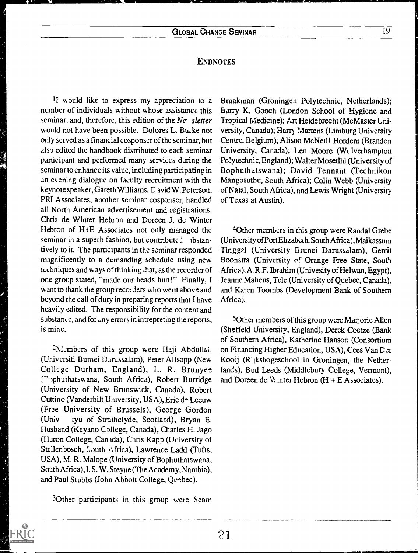## **ENDNOTES**

II would like to express my appreciation to a number of individuals without whose assistance this seminar, and, therefore, this edition of the Ne sletter would not have been possible. Dolores L. Bu-ke not only served as a financial cosponser of the seminar, but also edited the handbook distributed to each seminar participant and performed many services during the seminar to enhance its value, including participating in an evening dialogue on faculty recruitment with the keynote speaker, Gareth Williams. L avid W. Peterson, PRI Associates, another seminar cosponser, handled all North American advertisement and registrations. Chris de Winter Hebron and Doreen J. de Winter Hebron of H+E Associates not only managed the seminar in a superb fashion, but contribute  $\frac{1}{2}$  lbstantively to it. The participants in the seminar responded magnificently to a demanding schedule using new techniques and ways of thinking that, as the recorder of one group stated, "made our heads hurt!" Finally, I want to thank the group reco: ders who went above and beyond the call of duty in preparing reports that I have heavily edited. The responsibility for the content and substance, and for any errors in intrepreting the reports, is mine.

<sup>2</sup>Members of this group were Haji Abdullal. (Universiti Burnei Darussalam), Peter Allsopp (New College Durham, England), L. R. Brunyee, (">phuthatswana, South Africa), Robert Burridge (University of New Brunswick, Canada), Robert Cuttino (Vanderbilt University, USA), Eric de Leeuw (Free University of Brussels), George Gordon (Univ tyu of Strathclyde, Scotland), Bryan E. Husband (Keyano College, Canada), Charles H. Jago (Huron College, Canada), Chris Kapp (University of Stellenbosch, Louth Africa), Lawrence Ladd (Tufts, USA), M. R. Malope (University of Bophuthatswana, South Africa), I. S. W. Steyne (The Academy, Nambia), and Paul Stubbs (John Abbott College, Quebec).

<sup>3</sup>Other participants in this group were Seam

Braakman (Groningen Polytechnic, Netherlands); Barry K. Gooch (London School of Hygiene and Tropical Medicine); Art Heidebrecht (McMaster University, Canada); Harr) Martens (Limburg University Centre, Belgium); Alison McNeill Hordern (Brandon University, Canada); Len Moore (Welverhampton Pc'ytechnic, England); Walter Mosetlhi (University of Bophuthatswana); David Tennant (Technikon Mangosutbu, South Africa), Colin Webb (University of Natal, South Africa), and Lewis Wright (University of Texas at Austin).

40ther members in this group were Randal Grebe (University of Port Elizabath, South Africa), Maikassum Tingrl (University Brunei Darussalam), Gerrit Boonstra (University ef Orange Free State, South Africa), A .R.F. Ibrahim (Univesity of Helwan, Egypt), Jeanne Maheus, Tele (University of Quebec, Canada), and Karen Toombs (Development Bank of Southern Africa).

50ther members of this group were Marjorie Allen (Sheffeld University, England), Derek Coetze (Bank of Southern Africa), Katherine Hanson (Consortium on Financing Higher Education, USA), Cees Van Der Kooij (Rijkshogeschool in Groningen, the Netherlands), Bud Leeds (Middlebury College, Vermont), and Doreen de  $\mathcal{N}$  inter Hebron (H + E Associates).

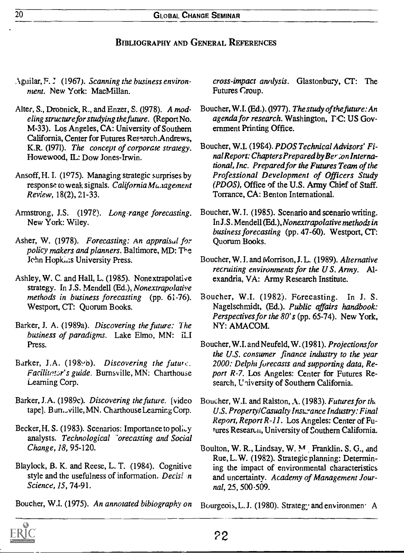## BIBLIOGRAPHY AND GENERAL REFERENCES

- Aguilar, F. J. (1967). Scanning the business environment. New York: MacMillan.
- Alter, S., Droonick, R., and Enzer, S. (1978). A modeling structure for studying the fiaure. (Report No. M-33). Los Angeles, CA: University of Southern California, Center for Futures Research.Andrews, K.R. (1971). The concept of corporate strategy. Howewood, IL: Dow Jones-Irwin.
- Ansoff, H. I. (1975). Managing strategic surprises by response to weak signals. California Mu.tagement Review, 18(2), 21-33.
- Armstrong, J.S. (1978). Long-range forecasting. New York: Wiley.
- Asher, W. (1978). Forecasting: An appraisal for policy makers and planners. Baltimore, MD: The Jehn Hopkins University Press.
- Ashley, W. C. and Hall, L. (1985). Nonextrapolative strategy. In J.S. Mendell (Ed.), Nonextrapolative methods in business forecasting (pp. 61-76). Westport, CT: Quorum Books.
- Barker, J. A. (1989a). Discovering the future: The business of paradigms. Lake Elmo, MN: *ILI* Press.
- Barker, J.A. (1989b). Discovering the future. Facilitator's guide. Burnsville, MN: Charthouse Learning Corp.
- Barker, J.A. (1989c). Discovering the future. [video tape]. Burn.,ville, MN. Charthouse Learning Corp.
- Becker, H. S. (1983). Scenarios: Importance to policy analysts. Technological <sup>-</sup>orecasting and Social Change, 18, 95-120.
- Blaylock, B. K. and Reese, L. T. (1984). Cognitive style and the usefulness of information. Decisi  $n$ Science, 15, 74-91.
- Boucher, W.I. (1975). An annotated bibiography on

cross-impact analysis. Glastonbury, CT: The Futures Croup.

- Boucher, W.I. (Ed.). (1977). The study of the future: An agenda for research. Washington,  $\Gamma$ C: US Government Printing Office.
- Boucher, W.I. (19S4). PDOS Technical Advisors' Final Report: Chapters Prepared by Ber ;on International, Inc. Preparedfor the Futures Team of the Professional Development of Officers Study (PDOS), Office of the U.S. Army Chief of Staff. Torrance, CA: Benton International.
- Boucher, W. I. (1985). Scenario and scenario writing. In J.S. Mendell (Ed.), Nonextrapolative methods in business forecasting (pp. 47-60). Westport, CT: Quorum Books.
- Boucher, W. I. and Morrison, J. L. (1989). Alternative recruiting environments for the  $US$ . Army. Alexandria, VA: Army Research Institute.
- Boucher, W.I. (1982). Forecasting. In J. S. Nagelschmidt, (Ed.). Public affairs handbook: Perspectives for the 80's (pp. 65-74). New York, NY: AMACOM.
- Boucher, W.I. and Neufeld, W. (1981). Projections for the U.S. consumer finance industry to the year 2000: Delphi forecasts and supporting data, Report R-7. Los Angeles: Center for Futures Research, University of Southern California.
- Boucher, W.I. and Ralston, A. (1983). Futures for the U.S. Property/Casualty Insurance Industry: Final Report, Report R-11 . Los Angeles: Center of Futures Research, University of Southern California.
- Boulton, W. R., Lindsay, W. M. Franklin, S. G., and Rue, L. W. (1982). Strategic planning: Determining the impact of environmental characteristics and uncertainty. Academy of Management Journal, 25, 500.509.
- Bourgeois, L. J. (1980). Strategy and environmen A

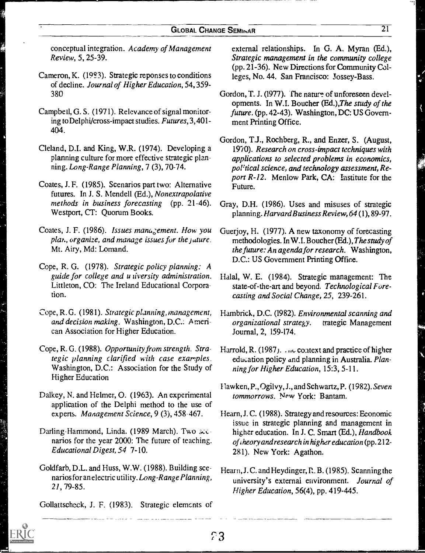conceptual integration. Academy of Management Review, 5, 25-39.

- Cameron, K. (1993). Strategic reponses to conditions of decline. Journal of Higher Education, 54, 359- 380
- Campbell, G. S. (1971). Relevance of signal monitoring toDelphi/cross-impact studies. Futures, 3,401-404.
- Cleland, D.I. and King, W.R. (1974). Developing a planning culture for more effective strategic planning. Long-Range Planning, 7 (3), 70-74.
- Coates, J. F. (1985). Scenarios part two: Alternative futures. In J. S. Mendell (Ed.), Nonextrapolative methods in business forecasting (pp. 21-46). Westport, CT: Quorum Books.
- Coates, J. F. (1986). Issues management. How you plan, organize, and manage issues for the juture. Mt. Airy, Md: Lomand.
- Cope, R. G. (1978). Strategic policy planning: A guide for college and u tiversity administration. Littleton, CO: The Ireland Educational Corporation.
- Cope, R. G. (1981). Strategic planning, management, and decision making. Washington, D.C.: American Association for Higher Education.
- Cope, R. G. (1988). Opportunity from strength. Strategic planning clarified with case examples. Washington, D.C.: Association for the Study of Higher Education
- Dalkey, N. and Helmer, 0. (1963). An experimental application of the Delphi method to the use of experts. Management Science, 9 (3), 458-467.
- Darling-Hammond, Linda. (1989 March). Two secnarios for the year 2000: The future of teaching. Educational Digest, 54 7-10.
- Goldfarb, D.L. and Huss, W.W. (1988). Building scenarios for an electric utility. Long-Range Planning, 21, 79-85.

Gollattscheck, J. F. (1983). Strategic elemcnts of

external relationships. In G. A. Myran (Ed.), Strategic management in the community college (pp. 21-36). New Directions for Community Colleges, No. 44. San Francisco: Jossey-Bass.

- Gordon, T. J. (1977). The nature of unforeseen developments. In W.I. Boucher (Ed.), The study of the future. (pp. 42-43). Washington, DC: US Government Printing Office.
- Gordon, T.J., Rochberg, R., and Enzer, S. (August, 1970). Research on cross-impact techniques with applications to selected problems in economics, political science, and technology assessment, Report R-12. Menlow Park, CA: Institute for the Future.
- Gray, D.H. (1986). Uses and misuses of strategic planning. Harvard Business Review, 64 (1), 89-97.
- Guerjoy, H. (1977). A new taxonomy of forecasting methodologies. In W.I. Boucher (Ed.), The study of the future: An agenda for research. Washington, D.C.: US Government Printing Office.
- Halal, W. E. (1984). Strategic management: The state-of-the-art and beyond, Technological Forecasting and Social Change, 25, 239-261.
- Hambrick, D.C. (1982). Environmental scanning and organizational strategy. trategic Management Journal, 2, 159-174.
- Harrold, R. (1987). The context and practice of higher education policy and planning in Australia. Planning for Higher Education, 15:3, 5-11.
- Ilawken, P., Ogilvy, J., and Schwartz, P. (1982). Seven tommorrows. New York: Bantam.
- Hearn, J. C. (1988). Strategy and resources: Economic issue in strategic planning and management in higher education. In J. C. Smart (Ed.), Handbook of iheory and research in higher education (pp. 212- 281). New York: Agathon.
- Hearn, J.C. and Heydinger, R.B. (1985). Scanning the university's external environment. Journal of Higher Education, 56(4), pp. 419-445.



 $53$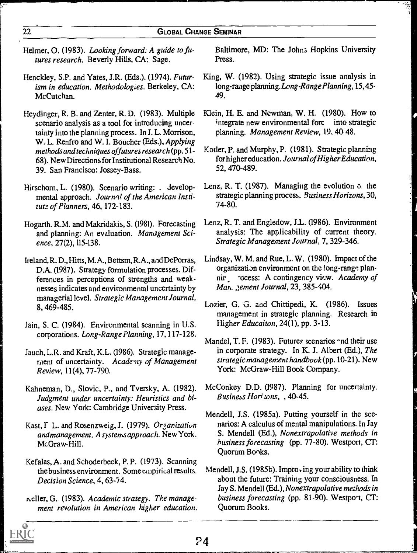- Helmer, O. (1983). Looking forward: A guide to futures research. Beverly Hills, CA: Sage.
- Henckley, S.P. and Yates, J.R. (Eds.). (1974). Futurism in education. Methodologies. Berkeley, CA: McCutchan.
- Heydinger, R. B. and Zenter, R. D. (1983). Multiple scenario analysis as a tool for introducing uncertainty into the planning process. In J. L Morrison, W. L. Renfro and W. I. Boucher (Eds.), Applying methods and techniques offutures research (pp. 51- 68). New Directions for Institutional Research No. 39. San Francisco: Jossey-Bass.
- Hirschorn, L. (1980). Scenario writing: . Jevelopmental approach. Journal of the American Institute of Planners, 46, 172-183.
- Hogarth. R.M. and Makridakis, S. (1981). Forecasting and planning: An evaluation. Management Science, 27(2), 115-138.
- Ireland, R. D., Hitts, M.A., Bettsm, R.A., and DePorras, D.A. (1987). Strategy formulation processes. Differences in perceptions of strengths and weaknesses indicates and environmental uncertainty by managerial level. Strategic Management Journal, 8, 469-485.
- Jain, S. C. (1984). Environmental scanning in U.S. corporations. Long-Range Planning, 17, 117-128.
- Jauch, L.R. and Kraft, K.L. (1986). Strategic management of uncertainty. Academy of Management Review, 11(4), 77-790.
- Kahneman, D., Slovic, P., and Tversky, A. (1982). Judgment under uncertainty: Heuristics and biases. New York: Cambridge University Press.
- Kast, F L. and Rosenzweig, J. (1979). Organization and management. A systems approach. New York. McGraw-Hill.
- Kefalas, A. and Schoderbeck, P. P. (1973). Scanning the business environment. Some empirical results. Decision Science, 4, 63-74.
- neller, G. (1983). Academic strategy. The management revolution in American higher education.

Baltimore, MD: The John; Hopkins University Press.

- King, W. (1982). Using strategic issue analysis in long-range planning. Long-Range Planning, 15, 45-49.
- Klein, H. E. and Newman, W. H. (1980). How to integrate new environmental forc into strategic planning. Management Review, 19. 40 48.
- Kotler, P. and Murphy, P. (1981). Strategic planning for higher education. Journal of Higher Education, 52, 470-489.
- Lenz, R. T. (1987). Managing the evolution of the strategic planning process. Business Horizons, 30, 74-80.
- Lenz, R. T. and Engledow, J.L. (1986). Environment analysis: The applicability of current theory. Strategic Management Journal, 7, 329-346.
- Lindsay, W. M. and Rue, L. W. (1980). Impact of the organization environment on the long-range plannir - ocess: A contingency view. Academy of Mark Jement Journal, 23, 385-404.
- Lozier, G. G. and Chittipedi, K. (1986). Issues management in strategic planning. Research in Higher Educaiton, 24(1), pp. 3-13.
- Mandel, T. F. (1983). Futures scenarios and their use in corporate strategy. In K. J. Albert (Ed.), The strategic management handbook (pp. 10-21). New York: McGraw-Hill Book Company.
- McConkey D.D. (1987). Planning for uncertainty. Business Horizons, 40-45.
- Mendell, J.S. (1985a). Putting yourself in the scenarios: A calculus of mental manipulations. In Jay S. Mendell (Ed.), Nonextrapolative methods in business forecasting (pp. 77-80). Westport, CT: Quorum Bonks.
- Mendell, J.S. (1985b). Impro $\cdot$  ing your ability to think about the future: Training your consciousness. In Jay S. Mendell (Ed.), Nonextrapolative methods in business forecasting (pp. 81-90). Westport, CT: Quorum Books.

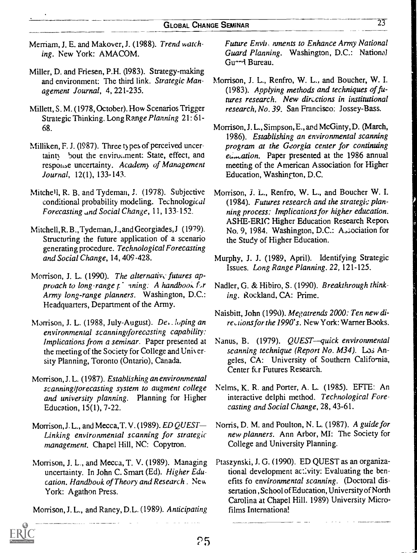- Merriam, J. E. and Makover, J. (1988). Trend watching. New York: AMACOM.
- Miller, D. and Friesen, P.H. (1983). Strategy-making and environment: The third link. Strategic Management Journal, 4, 221-235.
- Millett, S. M. (1978, October). How Scenarios Trigger Strategic Thinking. Long Range Planning 21: 61- 68.
- Milliken, F. J. (1987). Three ty pes of perceived uncertainty bout the enviromment: State, effect, and response uncertainty. Academy of Management Journal, 12(1), 133-143.
- Mitche<sup>l</sup>l, R. B. and Tydeman, J. (1978). Subjective conditional probability modeling. Technological Forecasting and Social Change, 11, 133-152.
- Mitchell, R. B., Tydeman, J., and Georgiades,J (1979). Structuring the future application of a scenario generating procedure. Technological Forecasting and Social Change, 14, 409 -428.
- Morrison, J. L. (1990). The alternative futures approach to long-range  $p^+$  ining. A handbook for Army long-range planners. Washington, D.C.: Headquarters, Department of the Army.
- Morrison, J. L. (1988, July-August). De. \_loping an environmental scanningiforecasting capability: Implications from a seminar. Paper presented at the meeting of the Society for College and Unix ersity Planning, Toronto (Ontario), Canada.
- Morrison, J. L. (1987). Establishing an environmental scanninglforecasting system to augment college and university planning. Planning for Higher Education, 15(1), 7-22.
- Morrison, J. L., and Mecca, T. V. (1989). ED QUEST-Linking environmental scanning for strategic management. Chapel Hill, NC: Copytron.
- Morrison, J. L., and Mecca, T. V. (1989). Managing uncertainty. In John C. Smart (Ed). Higher Education. Handbook of Theory and Research . New York: Agathon Press.

Morrison, J. L., and Raney, D.L. (1989). Anticipating

Future Envii, mnents to Enhance Army National Guard Planning. Washington, D.C.: National Gu--1 Bureau.

- Morrison, L L., Renfro, W. L., and Boucher, W. I. (1983). Applying methods and techniques of futures research. New directions in institutional research, No. 39. San Francisco: Jossey-Bass.
- Morrison, J. L., Simpson, E., and McGinty, D. (March, 1986). Establishing an environmental scanning program at the Georgia center for continuing etimation. Paper presented at the 1986 annual meeting of the American Association for Higher Education, Washington, D.C.
- Morrison, J. L., Renfro, W. L., and Boucher W. I. (1984). Futures research and the strategic planning process: Implications for higher education. ASHE-ERIC Higher Education Research Report No. 9, 1984. Washington, D.C.: Association for the Study of Higher Education.
- Murphy, J. J. (1989, April). Identifying Strategic Issues. Long Range Planning. 22, 121-125.
- Nadler, G. & Hibiro, S. (1990). Breakthrough thinking. Rockland, CA: Prime.
- Naisbitt, John (1990). Megatrends 2000: Ten new directions for the 1990's. New York: Warner Books.
- Nanus, B. (1979). *QUEST—quick environmental* scanning technique (Report No. M34). Los Angeles, CA: University of Southern California, Center fcr Futures Research.
- Nelms, K. R. and Porter, A. L. (1985). EFTE: An interactive delphi method. Technological Forecasting and Social Change, 28, 43-61.
- Norris, D. M. and Poulton, N. L. (1987). A guide for new planners. Ann Arbor, MI: The Society for College and University Planning.
- Ptaszynski, J. G. (1990). ED QUEST as an organizational development activity: Evaluating the benefits fo environmental scanning. (Doctoral dissertation , School of Education, University of North Carolina at Chapel Hill. 1989) University Microfilms International

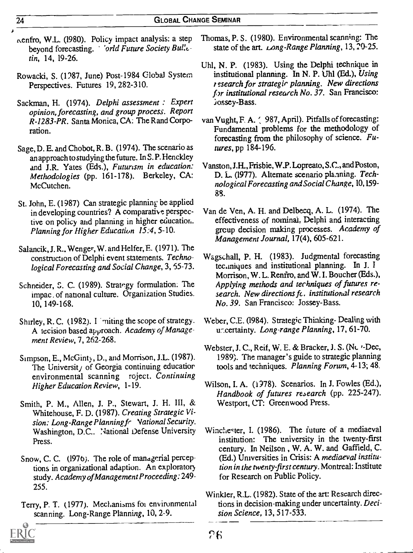- nenfro, W.L. (1980). Policy impact analysis: a step beyond forecasting. 'orld Future Society Bulletin, 14, 19-26.
- Rowacki, S. (1987, June) Post-1984 Global System Perspectives. Futures 19, 282-310.
- Sackman, H. (1974). Delphi assessment : Expert opinion, forecasting, and group process. Report R-1283-PR. Santa Monica, CA: The Rand Corporation.
- Sage, D. E. and Chobot, R. B. (1974). The scenario as an approach to studying the future. In S. P. Henckley and J.R. Yates (Eds.), Futurism in education: Methodologies (pp. 161-178). Berkeley, CA: McCutchen.
- St. John, E. (1987) Can strategic planning be applied in developing countries? A comparative perspective on policy and planning in higher education. Planning for Higher Education 15:4, 5-10.
- Salancik, J. R.. Wenger, W. and Helfer, E. (1971). The construction of Delphi event statements. Technological Forecasting and Social Change, 3, 55-73.
- Schneider, S. C. (1989). Strategy formulation. The impac . of national culture. Organization Studies. 10, 149-168.
- Shirley, R. C. (1982). I initing the scope of strategy. A tecision based approach. Academy of Management Review, 7, 262-268.
- Simpson, E., McGinty, D., and Morrison, J.L. (1987). The Universit  $j$  of Georgia continuing education environmental scanning roject. Continuing Higher Education Review, 1-19.
- Smith, P. M., Allen, J. P., Stewart, J. H. III, & Whitehouse, F. D. (1987). Creating Strategic Vision: Long-Range Planning fr Vational Security. Washington, D.C.. National Defense University Press.
- Snow, C. C. (1976). The role of managerial perceptions in organizational adaption. An exploratory study. Academy ofManagement Proceeding: 249- 255.
- Terry, P. T. (1977). Mechanisms foi environmental scanning. Long-Range Planning, 10, 2-9.

 $\alpha$ 



- Uhl, N. P. (1983). Using the Delphi technique in institutional planning. In N. P. Uhl (Ed.), Using t esearch for strategir planning. New directions for institutional research No.  $37.$  San Francisco: :iossey-Bass.
- van Vught, F. A. ( 987, April). Pitfalls of forecasting: Fundamental problems for the methodology of forecasting from the philosophy of science. Futures, pp 184-196.
- Vanston, J.R.,Frisbie, W.P. Lopreato, S.C., and Poston, D. L. (1977). Alternate scenario planning. Technological Forecasting and Social Change, 10,159- 88.
- Van de Ven, A. H. and Delbesq, A. L. (1974). The effectiveness of nominal, Delphi and interacting grcup decision making processes. Academy of Management Journal, 17(4), 605-621.
- Wagschall, P. H. (1983). Judgmental forecasting tec.miques and institutional planning. In J. I Morrison, W. L. Renfro, and W. I. Boucher (Eds.), Applying methods and techniques of futures research. New directions fc. institutional research No. 39. San Francisco: Jossey-Bass.
- Weber, C.E. (1984). Strategic Thinking- Dealing with uncertainty. Long-range Planning, 17, 61-70.
- Webster, J. C., Reif, W. E. & Bracker, J. S. (Nc  $\cdot$ -Dec, 1989). The manager's guide to strategic planning tools and techniques. Planning Forum, 4-13; 48.
- Wilson, I. A. (1978). Scenarios. In J. Fowles (Ed.), Handbook of futures research (pp. 225-247). Westport, CT: Greenwood Press.
- Winchester, I. (1986). The future of a mediaeval institution: The university in the twenty-first century. In Neilson , W. A. W. and Gaffield, C. (Ed.) Universities in Crisis: A mediaeval institution in the twenty-first century. Montreal: Institute for Research on Public Policy.
- Winkler, R.L. (1982). State of the art: Research directions in decision-making under uncertainty. Decision Science, 13, 517-533.

 $\lambda$